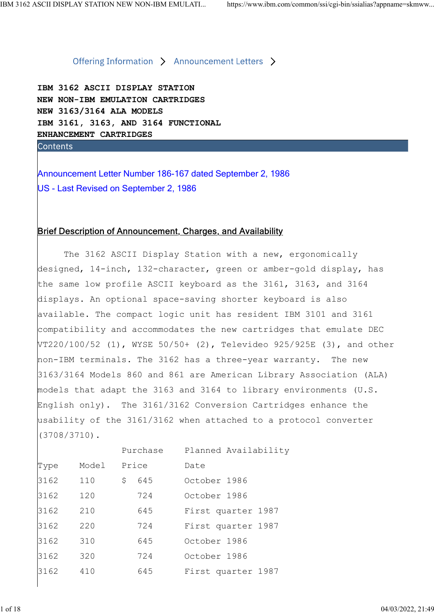IBM 3162 ASCII DISPLAY STATION NEW NON-IBM EMULATION CARTRIDGES NEW 3163/3164 ALA MODELS IBM 3161, 3163, AND 3164 FUNCTIONAL ENHANCEMENT CARTRIDGES SCII DISPLAY STATION NEW NON-IBM EMULATI... https://www.ibm.com/common/si/cgi-bin/ssialias?appname=skmww<br>
Offering Information > Announcement Letters ><br>
NEW NON-IBM EMULATION CARTRIDGES<br>
NEW NON-IBM EMULATION CARTRIDGES<br>
I

US - Last Revised on September 2, 1986

## Brief Description of Announcement, Charges, and Availability

The 3162 ASCII Display Station with a new, ergonomically designed, 14-inch, 132-character, green or amber-gold display, has the same low profile ASCII keyboard as the 3161, 3163, and 3164 displays. An optional space-saving shorter keyboard is also available. The compact logic unit has resident IBM 3101 and 3161 compatibility and accommodates the new cartridges that emulate DEC VT220/100/52 (1), WYSE 50/50+ (2), Televideo 925/925E (3), and other non-IBM terminals. The 3162 has a three-year warranty. The new 3163/3164 Models 860 and 861 are American Library Association (ALA) models that adapt the 3163 and 3164 to library environments (U.S. English only). The 3161/3162 Conversion Cartridges enhance the usability of the 3161/3162 when attached to a protocol converter (3708/3710).

|      |       | Purchase            | Planned Availability |
|------|-------|---------------------|----------------------|
| Type | Model | Price               | Date                 |
| 3162 | 110   | $\mathsf{S}$<br>645 | October 1986         |
| 3162 | 120   | 724                 | October 1986         |
| 3162 | 210   | 645                 | First quarter 1987   |
| 3162 | 220   | 724                 | First quarter 1987   |
| 3162 | 310   | 645                 | October 1986         |
| 3162 | 320   | 724                 | October 1986         |
| 3162 | 410   | 645                 | First quarter 1987   |
|      |       |                     |                      |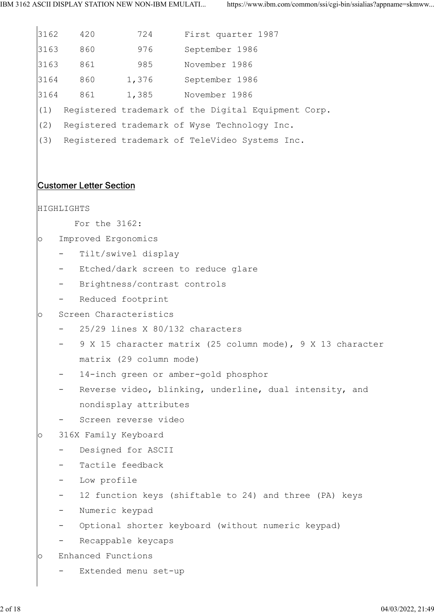3162 420 724 First quarter 1987 3163 860 976 September 1986 3163 861 985 November 1986 3164 860 1,376 September 1986 3164 861 1,385 November 1986 (1) Registered trademark of the Digital Equipment Corp. (2) Registered trademark of Wyse Technology Inc. (3) Registered trademark of TeleVideo Systems Inc. Customer Letter Section HIGHLIGHTS For the 3162: o Improved Ergonomics - Tilt/swivel display - Etched/dark screen to reduce glare - Brightness/contrast controls - Reduced footprint o Screen Characteristics - 25/29 lines X 80/132 characters 9 X 15 character matrix (25 column mode), 9 X 13 character matrix (29 column mode) 14-inch green or amber-gold phosphor - Reverse video, blinking, underline, dual intensity, and nondisplay attributes Screen reverse video o 316X Family Keyboard Designed for ASCII Tactile feedback Low profile 12 function keys (shiftable to 24) and three (PA) keys - Numeric keypad - Optional shorter keyboard (without numeric keypad) Recappable keycaps o Enhanced Functions - Extended menu set-up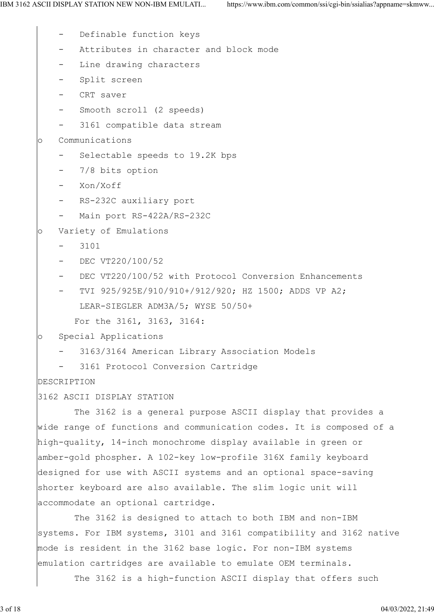- Definable function keys
- Attributes in character and block mode
- Line drawing characters
- Split screen
- CRT saver
- Smooth scroll (2 speeds)
- 3161 compatible data stream

o Communications

- Selectable speeds to 19.2K bps
- 7/8 bits option
- Xon/Xoff
- RS-232C auxiliary port
- Main port RS-422A/RS-232C

o Variety of Emulations

- 3101
- DEC VT220/100/52
- DEC VT220/100/52 with Protocol Conversion Enhancements
- TVI 925/925E/910/910+/912/920; HZ 1500; ADDS VP A2; LEAR-SIEGLER ADM3A/5; WYSE 50/50+

For the 3161, 3163, 3164:

o Special Applications

- 3163/3164 American Library Association Models
- 3161 Protocol Conversion Cartridge

DESCRIPTION

3162 ASCII DISPLAY STATION

 The 3162 is a general purpose ASCII display that provides a wide range of functions and communication codes. It is composed of a high-quality, 14-inch monochrome display available in green or amber-gold phospher. A 102-key low-profile 316X family keyboard designed for use with ASCII systems and an optional space-saving shorter keyboard are also available. The slim logic unit will accommodate an optional cartridge.

 The 3162 is designed to attach to both IBM and non-IBM systems. For IBM systems, 3101 and 3161 compatibility and 3162 native mode is resident in the 3162 base logic. For non-IBM systems emulation cartridges are available to emulate OEM terminals.

The 3162 is a high-function ASCII display that offers such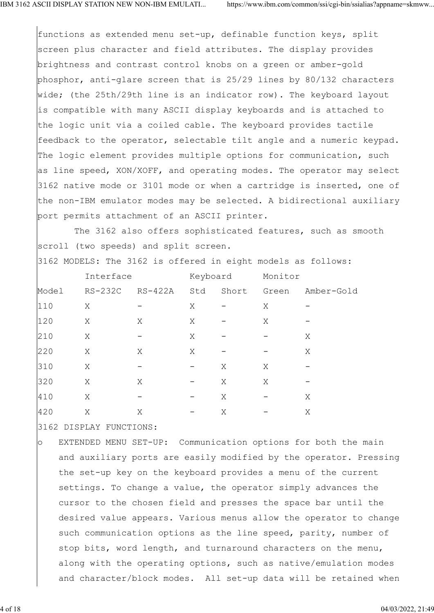functions as extended menu set-up, definable function keys, split screen plus character and field attributes. The display provides brightness and contrast control knobs on a green or amber-gold phosphor, anti-glare screen that is 25/29 lines by 80/132 characters wide; (the 25th/29th line is an indicator row). The keyboard layout is compatible with many ASCII display keyboards and is attached to the logic unit via a coiled cable. The keyboard provides tactile feedback to the operator, selectable tilt angle and a numeric keypad. The logic element provides multiple options for communication, such as line speed, XON/XOFF, and operating modes. The operator may select 3162 native mode or 3101 mode or when a cartridge is inserted, one of the non-IBM emulator modes may be selected. A bidirectional auxiliary port permits attachment of an ASCII printer.

 The 3162 also offers sophisticated features, such as smooth scroll (two speeds) and split screen.

3162 MODELS: The 3162 is offered in eight models as follows:

|       | Interface |                              | Keyboard                 |                              | Monitor                      |            |  |
|-------|-----------|------------------------------|--------------------------|------------------------------|------------------------------|------------|--|
| Model | RS-232C   | RS-422A                      | Std                      | Short                        | Green                        | Amber-Gold |  |
| 110   | Χ         |                              | Χ                        | $\equiv$                     | Χ                            |            |  |
| 120   | X         | X                            | Χ                        | $\qquad \qquad \blacksquare$ | Χ                            | -          |  |
| 210   | X         | $\overline{\phantom{a}}$     | Χ                        | $\overline{\phantom{m}}$     | -                            | Χ          |  |
| 220   | X         | X                            | Χ                        | $\overline{\phantom{m}}$     | $\qquad \qquad \blacksquare$ | Χ          |  |
| 310   | Χ         | -                            | $\overline{\phantom{m}}$ | Χ                            | Χ                            | -          |  |
| 320   | X         | X                            | $\sim$                   | Χ                            | X                            | -          |  |
| 410   | X         | $\qquad \qquad \blacksquare$ | $\overline{\phantom{m}}$ | Χ                            | $\overline{\phantom{m}}$     | Χ          |  |
| 420   | Χ         | Χ                            | $\qquad \qquad -$        | Χ                            | $\qquad \qquad \qquad$       | Χ          |  |

3162 DISPLAY FUNCTIONS:

o EXTENDED MENU SET-UP: Communication options for both the main and auxiliary ports are easily modified by the operator. Pressing the set-up key on the keyboard provides a menu of the current settings. To change a value, the operator simply advances the cursor to the chosen field and presses the space bar until the desired value appears. Various menus allow the operator to change such communication options as the line speed, parity, number of stop bits, word length, and turnaround characters on the menu, along with the operating options, such as native/emulation modes and character/block modes. All set-up data will be retained when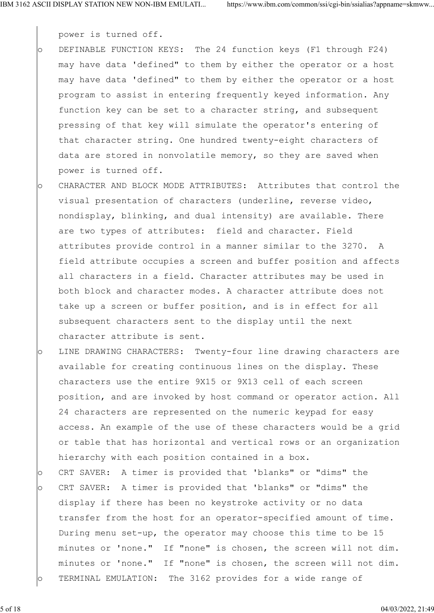power is turned off.

- o DEFINABLE FUNCTION KEYS: The 24 function keys (F1 through F24) may have data 'defined" to them by either the operator or a host may have data 'defined" to them by either the operator or a host program to assist in entering frequently keyed information. Any function key can be set to a character string, and subsequent pressing of that key will simulate the operator's entering of that character string. One hundred twenty-eight characters of data are stored in nonvolatile memory, so they are saved when power is turned off.
- o CHARACTER AND BLOCK MODE ATTRIBUTES: Attributes that control the visual presentation of characters (underline, reverse video, nondisplay, blinking, and dual intensity) are available. There are two types of attributes: field and character. Field attributes provide control in a manner similar to the 3270. A field attribute occupies a screen and buffer position and affects all characters in a field. Character attributes may be used in both block and character modes. A character attribute does not take up a screen or buffer position, and is in effect for all subsequent characters sent to the display until the next character attribute is sent.
- o LINE DRAWING CHARACTERS: Twenty-four line drawing characters are available for creating continuous lines on the display. These characters use the entire 9X15 or 9X13 cell of each screen position, and are invoked by host command or operator action. All 24 characters are represented on the numeric keypad for easy access. An example of the use of these characters would be a grid or table that has horizontal and vertical rows or an organization hierarchy with each position contained in a box.
- o CRT SAVER: A timer is provided that 'blanks" or "dims" the o CRT SAVER: A timer is provided that 'blanks" or "dims" the display if there has been no keystroke activity or no data transfer from the host for an operator-specified amount of time. During menu set-up, the operator may choose this time to be 15 minutes or 'none." If "none" is chosen, the screen will not dim. minutes or 'none." If "none" is chosen, the screen will not dim. o TERMINAL EMULATION: The 3162 provides for a wide range of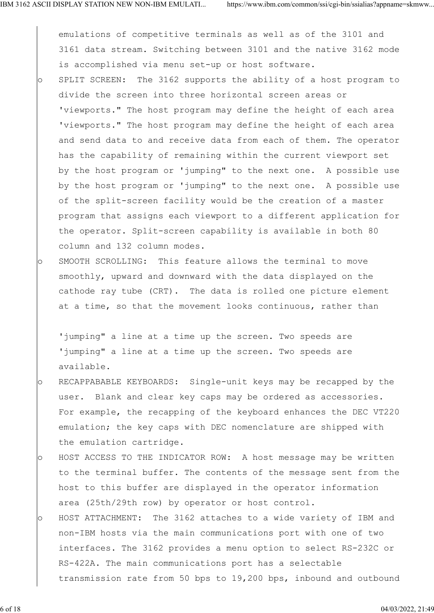emulations of competitive terminals as well as of the 3101 and 3161 data stream. Switching between 3101 and the native 3162 mode is accomplished via menu set-up or host software.

- o SPLIT SCREEN: The 3162 supports the ability of a host program to divide the screen into three horizontal screen areas or 'viewports." The host program may define the height of each area 'viewports." The host program may define the height of each area and send data to and receive data from each of them. The operator has the capability of remaining within the current viewport set by the host program or 'jumping" to the next one. A possible use by the host program or 'jumping" to the next one. A possible use of the split-screen facility would be the creation of a master program that assigns each viewport to a different application for the operator. Split-screen capability is available in both 80 column and 132 column modes.
- o SMOOTH SCROLLING: This feature allows the terminal to move smoothly, upward and downward with the data displayed on the cathode ray tube (CRT). The data is rolled one picture element at a time, so that the movement looks continuous, rather than

'jumping" a line at a time up the screen. Two speeds are 'jumping" a line at a time up the screen. Two speeds are available.

- o RECAPPABABLE KEYBOARDS: Single-unit keys may be recapped by the user. Blank and clear key caps may be ordered as accessories. For example, the recapping of the keyboard enhances the DEC VT220 emulation; the key caps with DEC nomenclature are shipped with the emulation cartridge.
- o HOST ACCESS TO THE INDICATOR ROW: A host message may be written to the terminal buffer. The contents of the message sent from the host to this buffer are displayed in the operator information area (25th/29th row) by operator or host control.
- o HOST ATTACHMENT: The 3162 attaches to a wide variety of IBM and non-IBM hosts via the main communications port with one of two interfaces. The 3162 provides a menu option to select RS-232C or RS-422A. The main communications port has a selectable transmission rate from 50 bps to 19,200 bps, inbound and outbound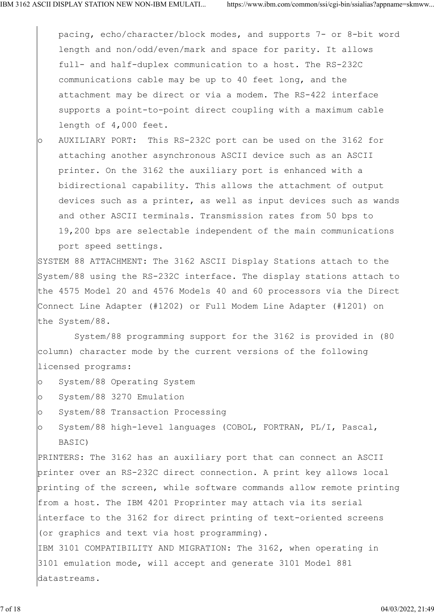pacing, echo/character/block modes, and supports 7- or 8-bit word length and non/odd/even/mark and space for parity. It allows full- and half-duplex communication to a host. The RS-232C communications cable may be up to 40 feet long, and the attachment may be direct or via a modem. The RS-422 interface supports a point-to-point direct coupling with a maximum cable length of 4,000 feet.

o AUXILIARY PORT: This RS-232C port can be used on the 3162 for attaching another asynchronous ASCII device such as an ASCII printer. On the 3162 the auxiliary port is enhanced with a bidirectional capability. This allows the attachment of output devices such as a printer, as well as input devices such as wands and other ASCII terminals. Transmission rates from 50 bps to 19,200 bps are selectable independent of the main communications port speed settings.

SYSTEM 88 ATTACHMENT: The 3162 ASCII Display Stations attach to the System/88 using the RS-232C interface. The display stations attach to the 4575 Model 20 and 4576 Models 40 and 60 processors via the Direct Connect Line Adapter (#1202) or Full Modem Line Adapter (#1201) on the System/88.

 System/88 programming support for the 3162 is provided in (80 column) character mode by the current versions of the following licensed programs:

- o System/88 Operating System
- o System/88 3270 Emulation
- o System/88 Transaction Processing
- o System/88 high-level languages (COBOL, FORTRAN, PL/I, Pascal, BASIC)

PRINTERS: The 3162 has an auxiliary port that can connect an ASCII printer over an RS-232C direct connection. A print key allows local printing of the screen, while software commands allow remote printing from a host. The IBM 4201 Proprinter may attach via its serial interface to the 3162 for direct printing of text-oriented screens (or graphics and text via host programming). IBM 3101 COMPATIBILITY AND MIGRATION: The 3162, when operating in 3101 emulation mode, will accept and generate 3101 Model 881 datastreams.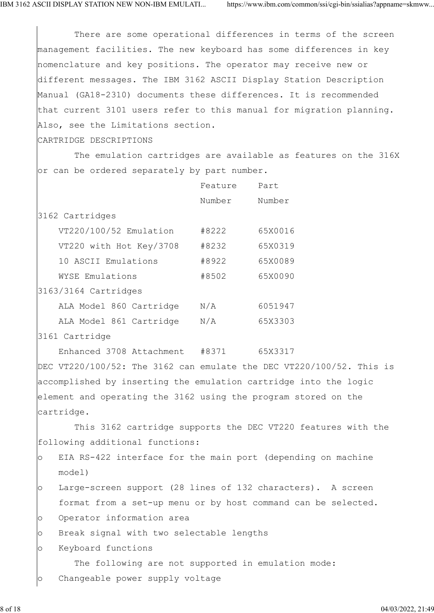There are some operational differences in terms of the screen management facilities. The new keyboard has some differences in key nomenclature and key positions. The operator may receive new or different messages. The IBM 3162 ASCII Display Station Description Manual (GA18-2310) documents these differences. It is recommended that current 3101 users refer to this manual for migration planning. Also, see the Limitations section.

CARTRIDGE DESCRIPTIONS

 The emulation cartridges are available as features on the 316X or can be ordered separately by part number.

|                        |                         | Feature | Part    |
|------------------------|-------------------------|---------|---------|
|                        |                         | Number  | Number  |
| 3162 Cartridges        |                         |         |         |
|                        | VT220/100/52 Emulation  | #8222   | 65X0016 |
|                        | VT220 with Hot Key/3708 | #8232   | 65X0319 |
|                        | 10 ASCII Emulations     | #8922   | 65X0089 |
|                        | WYSE Emulations         | #8502   | 65X0090 |
| $3163/3164$ Cartridges |                         |         |         |
|                        | ALA Model 860 Cartridge | N/A     | 6051947 |
|                        | ALA Model 861 Cartridge | N/A     | 65X3303 |
|                        |                         |         |         |

3161 Cartridge

Enhanced 3708 Attachment #8371 65X3317

DEC VT220/100/52: The 3162 can emulate the DEC VT220/100/52. This is accomplished by inserting the emulation cartridge into the logic element and operating the 3162 using the program stored on the cartridge.

 This 3162 cartridge supports the DEC VT220 features with the following additional functions:

- o EIA RS-422 interface for the main port (depending on machine model)
- o Large-screen support (28 lines of 132 characters). A screen format from a set-up menu or by host command can be selected.
- o Operator information area
- o Break signal with two selectable lengths

o Keyboard functions

The following are not supported in emulation mode:

o Changeable power supply voltage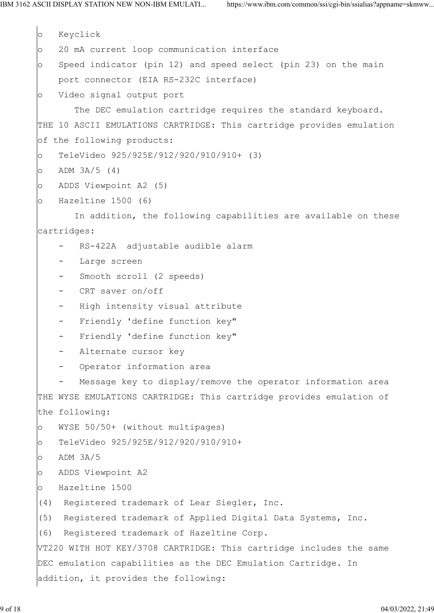```
o Keyclick
o 20 mA current loop communication interface
o Speed indicator (pin 12) and speed select (pin 23) on the main
    port connector (EIA RS-232C interface)
o Video signal output port
        The DEC emulation cartridge requires the standard keyboard.
THE 10 ASCII EMULATIONS CARTRIDGE: This cartridge provides emulation
of the following products:
o TeleVideo 925/925E/912/920/910/910+ (3)
O ADM 3A/5 (4)
o ADDS Viewpoint A2 (5)
o Hazeltine 1500 (6)
        In addition, the following capabilities are available on these
cartridges:
       RS-422A adjustable audible alarm
      Large screen
      Smooth scroll (2 speeds)
     - CRT saver on/off
     - High intensity visual attribute
     - Friendly 'define function key"
       - Friendly 'define function key"
      Alternate cursor key
       Operator information area
       Message key to display/remove the operator information area
THE WYSE EMULATIONS CARTRIDGE: This cartridge provides emulation of
the following:
o WYSE 50/50+ (without multipages)
o TeleVideo 925/925E/912/920/910/910+
o ADM 3A/5
o ADDS Viewpoint A2
o Hazeltine 1500
(4) Registered trademark of Lear Siegler, Inc.
(5) Registered trademark of Applied Digital Data Systems, Inc.
(6) Registered trademark of Hazeltine Corp.
VT220 WITH HOT KEY/3708 CARTRIDGE: This cartridge includes the same
DEC emulation capabilities as the DEC Emulation Cartridge. In
addition, it provides the following:
```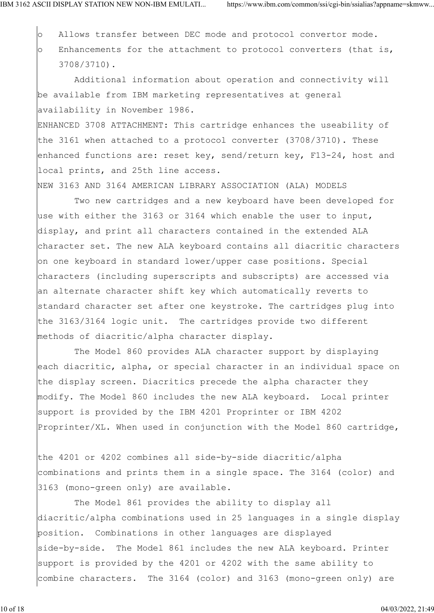$\circ$  Allows transfer between DEC mode and protocol convertor mode. o Enhancements for the attachment to protocol converters (that is, 3708/3710).

 Additional information about operation and connectivity will be available from IBM marketing representatives at general availability in November 1986.

ENHANCED 3708 ATTACHMENT: This cartridge enhances the useability of the 3161 when attached to a protocol converter (3708/3710). These enhanced functions are: reset key, send/return key, F13-24, host and local prints, and 25th line access.

NEW 3163 AND 3164 AMERICAN LIBRARY ASSOCIATION (ALA) MODELS

 Two new cartridges and a new keyboard have been developed for use with either the 3163 or 3164 which enable the user to input, display, and print all characters contained in the extended ALA character set. The new ALA keyboard contains all diacritic characters on one keyboard in standard lower/upper case positions. Special characters (including superscripts and subscripts) are accessed via an alternate character shift key which automatically reverts to standard character set after one keystroke. The cartridges plug into the 3163/3164 logic unit. The cartridges provide two different methods of diacritic/alpha character display.

 The Model 860 provides ALA character support by displaying each diacritic, alpha, or special character in an individual space on the display screen. Diacritics precede the alpha character they modify. The Model 860 includes the new ALA keyboard. Local printer support is provided by the IBM 4201 Proprinter or IBM 4202 Proprinter/XL. When used in conjunction with the Model 860 cartridge,

the 4201 or 4202 combines all side-by-side diacritic/alpha combinations and prints them in a single space. The 3164 (color) and 3163 (mono-green only) are available.

 The Model 861 provides the ability to display all diacritic/alpha combinations used in 25 languages in a single display position. Combinations in other languages are displayed side-by-side. The Model 861 includes the new ALA keyboard. Printer support is provided by the 4201 or 4202 with the same ability to combine characters. The 3164 (color) and 3163 (mono-green only) are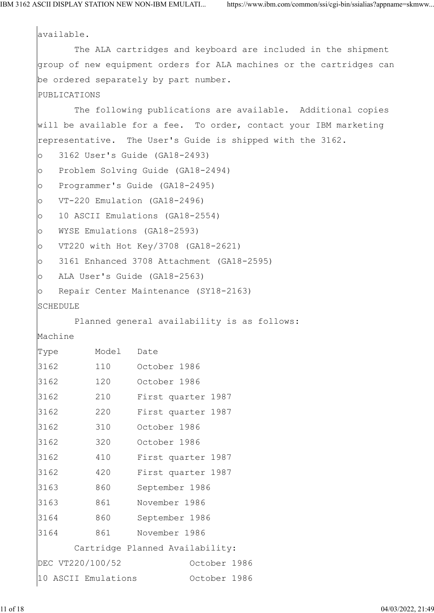available. The ALA cartridges and keyboard are included in the shipment group of new equipment orders for ALA machines or the cartridges can be ordered separately by part number. PUBLICATIONS The following publications are available. Additional copies will be available for a fee. To order, contact your IBM marketing representative. The User's Guide is shipped with the 3162. o 3162 User's Guide (GA18-2493) o Problem Solving Guide (GA18-2494) o Programmer's Guide (GA18-2495) o VT-220 Emulation (GA18-2496) o 10 ASCII Emulations (GA18-2554) o WYSE Emulations (GA18-2593) o VT220 with Hot Key/3708 (GA18-2621) o 3161 Enhanced 3708 Attachment (GA18-2595) o ALA User's Guide (GA18-2563) o Repair Center Maintenance (SY18-2163) SCHEDULE Planned general availability is as follows: Machine Type Model Date 3162 110 October 1986 3162 120 October 1986 3162 210 First quarter 1987 3162 220 First quarter 1987 3162 310 October 1986 3162 320 October 1986 3162 410 First quarter 1987 3162 420 First quarter 1987 3163 860 September 1986 3163 861 November 1986 3164 860 September 1986 3164 861 November 1986 Cartridge Planned Availability: DEC VT220/100/52 October 1986 10 ASCII Emulations October 1986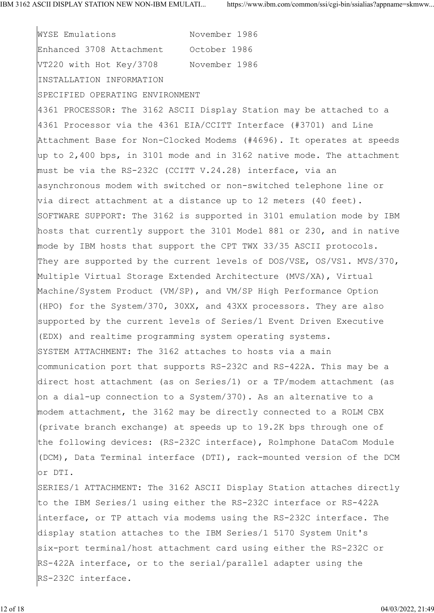WYSE Emulations November 1986 Enhanced 3708 Attachment October 1986 VT220 with Hot Key/3708 November 1986 INSTALLATION INFORMATION SPECIFIED OPERATING ENVIRONMENT 4361 PROCESSOR: The 3162 ASCII Display Station may be attached to a 4361 Processor via the 4361 EIA/CCITT Interface (#3701) and Line Attachment Base for Non-Clocked Modems (#4696). It operates at speeds up to 2,400 bps, in 3101 mode and in 3162 native mode. The attachment must be via the RS-232C (CCITT V.24.28) interface, via an asynchronous modem with switched or non-switched telephone line or via direct attachment at a distance up to 12 meters (40 feet). SOFTWARE SUPPORT: The 3162 is supported in 3101 emulation mode by IBM hosts that currently support the 3101 Model 881 or 230, and in native mode by IBM hosts that support the CPT TWX 33/35 ASCII protocols. They are supported by the current levels of DOS/VSE, OS/VS1. MVS/370, Multiple Virtual Storage Extended Architecture (MVS/XA), Virtual Machine/System Product (VM/SP), and VM/SP High Performance Option (HPO) for the System/370, 30XX, and 43XX processors. They are also supported by the current levels of Series/1 Event Driven Executive (EDX) and realtime programming system operating systems. SYSTEM ATTACHMENT: The 3162 attaches to hosts via a main communication port that supports RS-232C and RS-422A. This may be a direct host attachment (as on Series/1) or a TP/modem attachment (as on a dial-up connection to a System/370). As an alternative to a modem attachment, the 3162 may be directly connected to a ROLM CBX (private branch exchange) at speeds up to 19.2K bps through one of the following devices: (RS-232C interface), Rolmphone DataCom Module (DCM), Data Terminal interface (DTI), rack-mounted version of the DCM or DTI. SERIES/1 ATTACHMENT: The 3162 ASCII Display Station attaches directly to the IBM Series/1 using either the RS-232C interface or RS-422A interface, or TP attach via modems using the RS-232C interface. The display station attaches to the IBM Series/1 5170 System Unit's six-port terminal/host attachment card using either the RS-232C or RS-422A interface, or to the serial/parallel adapter using the RS-232C interface.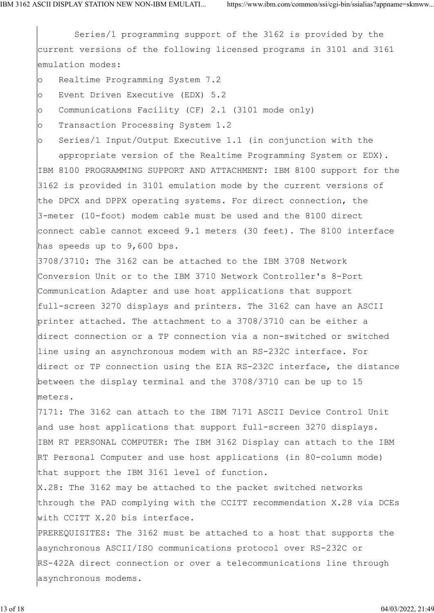Series/1 programming support of the 3162 is provided by the current versions of the following licensed programs in 3101 and 3161 emulation modes:

o Realtime Programming System 7.2

- o Event Driven Executive (EDX) 5.2
- o Communications Facility (CF) 2.1 (3101 mode only)

o Transaction Processing System 1.2

o Series/1 Input/Output Executive 1.1 (in conjunction with the

 appropriate version of the Realtime Programming System or EDX). IBM 8100 PROGRAMMING SUPPORT AND ATTACHMENT: IBM 8100 support for the 3162 is provided in 3101 emulation mode by the current versions of the DPCX and DPPX operating systems. For direct connection, the 3-meter (10-foot) modem cable must be used and the 8100 direct connect cable cannot exceed 9.1 meters (30 feet). The 8100 interface has speeds up to 9,600 bps.

3708/3710: The 3162 can be attached to the IBM 3708 Network Conversion Unit or to the IBM 3710 Network Controller's 8-Port Communication Adapter and use host applications that support full-screen 3270 displays and printers. The 3162 can have an ASCII printer attached. The attachment to a 3708/3710 can be either a direct connection or a TP connection via a non-switched or switched line using an asynchronous modem with an RS-232C interface. For direct or TP connection using the EIA RS-232C interface, the distance between the display terminal and the 3708/3710 can be up to 15 meters.

7171: The 3162 can attach to the IBM 7171 ASCII Device Control Unit and use host applications that support full-screen 3270 displays. IBM RT PERSONAL COMPUTER: The IBM 3162 Display can attach to the IBM RT Personal Computer and use host applications (in 80-column mode) that support the IBM 3161 level of function.

X.28: The 3162 may be attached to the packet switched networks through the PAD complying with the CCITT recommendation X.28 via DCEs with CCITT X.20 bis interface.

PREREQUISITES: The 3162 must be attached to a host that supports the asynchronous ASCII/ISO communications protocol over RS-232C or RS-422A direct connection or over a telecommunications line through asynchronous modems.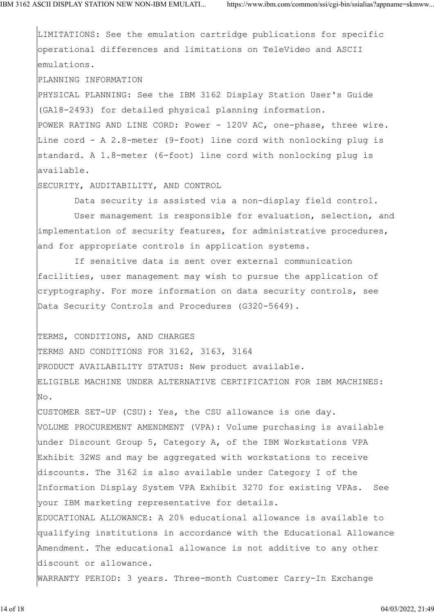LIMITATIONS: See the emulation cartridge publications for specific operational differences and limitations on TeleVideo and ASCII emulations.

PLANNING INFORMATION

PHYSICAL PLANNING: See the IBM 3162 Display Station User's Guide (GA18-2493) for detailed physical planning information.

POWER RATING AND LINE CORD: Power - 120V AC, one-phase, three wire. Line cord - A 2.8-meter (9-foot) line cord with nonlocking plug is standard. A 1.8-meter (6-foot) line cord with nonlocking plug is available.

SECURITY, AUDITABILITY, AND CONTROL

Data security is assisted via a non-display field control.

 User management is responsible for evaluation, selection, and implementation of security features, for administrative procedures, and for appropriate controls in application systems.

 If sensitive data is sent over external communication facilities, user management may wish to pursue the application of cryptography. For more information on data security controls, see Data Security Controls and Procedures (G320-5649).

TERMS, CONDITIONS, AND CHARGES TERMS AND CONDITIONS FOR 3162, 3163, 3164 PRODUCT AVAILABILITY STATUS: New product available. ELIGIBLE MACHINE UNDER ALTERNATIVE CERTIFICATION FOR IBM MACHINES: No.

CUSTOMER SET-UP (CSU): Yes, the CSU allowance is one day. VOLUME PROCUREMENT AMENDMENT (VPA): Volume purchasing is available under Discount Group 5, Category A, of the IBM Workstations VPA Exhibit 32WS and may be aggregated with workstations to receive discounts. The 3162 is also available under Category I of the Information Display System VPA Exhibit 3270 for existing VPAs. See your IBM marketing representative for details. EDUCATIONAL ALLOWANCE: A 20% educational allowance is available to qualifying institutions in accordance with the Educational Allowance Amendment. The educational allowance is not additive to any other discount or allowance.

WARRANTY PERIOD: 3 years. Three-month Customer Carry-In Exchange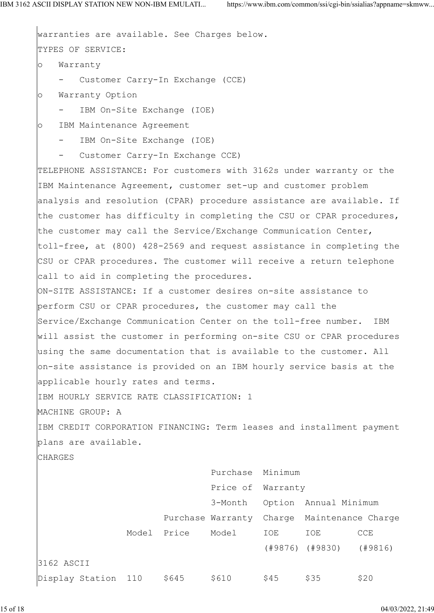warranties are available. See Charges below. TYPES OF SERVICE: o Warranty - Customer Carry-In Exchange (CCE) o Warranty Option - IBM On-Site Exchange (IOE) o IBM Maintenance Agreement IBM On-Site Exchange (IOE) Customer Carry-In Exchange CCE) TELEPHONE ASSISTANCE: For customers with 3162s under warranty or the IBM Maintenance Agreement, customer set-up and customer problem analysis and resolution (CPAR) procedure assistance are available. If the customer has difficulty in completing the CSU or CPAR procedures, the customer may call the Service/Exchange Communication Center, toll-free, at (800) 428-2569 and request assistance in completing the CSU or CPAR procedures. The customer will receive a return telephone call to aid in completing the procedures. ON-SITE ASSISTANCE: If a customer desires on-site assistance to perform CSU or CPAR procedures, the customer may call the Service/Exchange Communication Center on the toll-free number. IBM will assist the customer in performing on-site CSU or CPAR procedures using the same documentation that is available to the customer. All on-site assistance is provided on an IBM hourly service basis at the applicable hourly rates and terms. IBM HOURLY SERVICE RATE CLASSIFICATION: 1 MACHINE GROUP: A IBM CREDIT CORPORATION FINANCING: Term leases and installment payment plans are available. CHARGES Purchase Minimum Price of Warranty 3-Month Option Annual Minimum Purchase Warranty Charge Maintenance Charge Model Price Model IOE IOE CCE (#9876) (#9830) (#9816) 3162 ASCII  $Display Station 110 $645 $610 $45 $35 $20$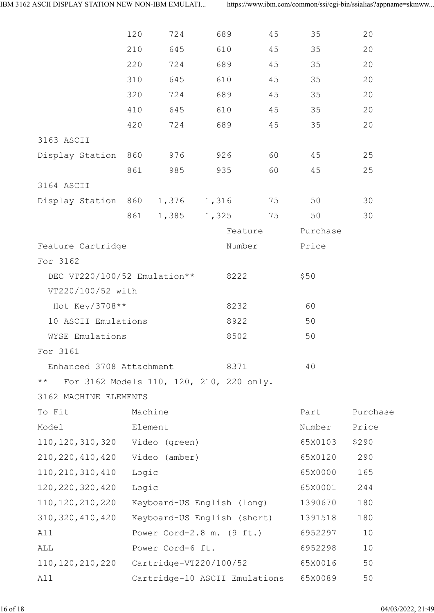|                                                   | 120                                 | 724     | 689                                      | 45      | 35    | 20       |  |
|---------------------------------------------------|-------------------------------------|---------|------------------------------------------|---------|-------|----------|--|
|                                                   | 210                                 | 645     | 610                                      | 45      | 35    | 20       |  |
|                                                   | 220                                 | 724     | 689                                      | 45      | 35    | 20       |  |
|                                                   | 310                                 | 645     | 610                                      | 45      | 35    | 20       |  |
|                                                   | 320                                 | 724     | 689                                      | 45      | 35    | 20       |  |
|                                                   | 410                                 | 645     | 610                                      | 45      | 35    | 20       |  |
|                                                   | 420                                 | 724     | 689                                      | 45      | 35    | 20       |  |
| 3163 ASCII                                        |                                     |         |                                          |         |       |          |  |
| Display Station 860                               |                                     | 976     | 926                                      | 60      | 45    | 25       |  |
|                                                   | 861                                 | 985     | 935                                      | 60      | 45    | 25       |  |
| 3164 ASCII                                        |                                     |         |                                          |         |       |          |  |
| Display Station 860                               |                                     | 1,376   | 1,316                                    | 75      | 50    | 30       |  |
|                                                   | 861                                 | 1,385   | 1,325                                    | 75      | 50    | 30       |  |
|                                                   |                                     |         |                                          | Feature |       |          |  |
| Feature Cartridge                                 |                                     |         | Number                                   |         | Price |          |  |
| For 3162                                          |                                     |         |                                          |         |       |          |  |
| DEC VT220/100/52 Emulation**<br>8222              |                                     |         | \$50                                     |         |       |          |  |
| VT220/100/52 with                                 |                                     |         |                                          |         |       |          |  |
| Hot Key/3708**<br>8232                            |                                     |         |                                          | 60      |       |          |  |
| 10 ASCII Emulations<br>8922                       |                                     |         | 50                                       |         |       |          |  |
| WYSE Emulations                                   |                                     |         | 8502                                     |         | 50    |          |  |
| For 3161                                          |                                     |         |                                          |         |       |          |  |
| Enhanced 3708 Attachment<br>8371                  |                                     |         | 40                                       |         |       |          |  |
| $\star \star$                                     |                                     |         | For 3162 Models 110, 120, 210, 220 only. |         |       |          |  |
| 3162 MACHINE ELEMENTS                             |                                     |         |                                          |         |       |          |  |
| To Fit                                            |                                     | Machine |                                          |         | Part  | Purchase |  |
| Model                                             | Element                             |         | Number                                   | Price   |       |          |  |
| 110, 120, 310, 320<br>Video (green)               |                                     | 65X0103 | \$290                                    |         |       |          |  |
| 210, 220, 410, 420                                | Video (amber)                       |         |                                          | 65X0120 | 290   |          |  |
| 110, 210, 310, 410                                | Logic                               |         |                                          | 65X0000 | 165   |          |  |
| 120, 220, 320, 420                                | Logic                               |         |                                          | 65X0001 | 244   |          |  |
| $ 110, 120, 210, 220$ Keyboard-US English (long)  |                                     |         | 1390670                                  | 180     |       |          |  |
| 310, 320, 410, 420<br>Keyboard-US English (short) |                                     |         | 1391518                                  | 180     |       |          |  |
| All                                               | Power Cord-2.8 m. $(9 \text{ ft.})$ |         | 6952297                                  | 10      |       |          |  |
| Power Cord-6 ft.<br>ALL                           |                                     | 6952298 | 10                                       |         |       |          |  |
| Cartridge-VT220/100/52<br> 110, 120, 210, 220     |                                     | 65X0016 | 50                                       |         |       |          |  |
| Cartridge-10 ASCII Emulations<br>All              |                                     |         | 65X0089                                  | 50      |       |          |  |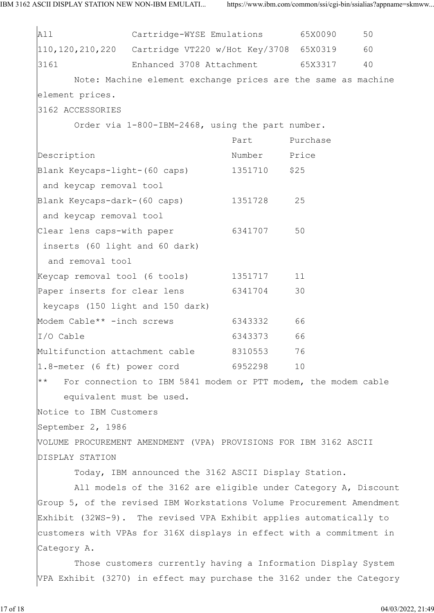All Cartridge-WYSE Emulations 65X0090 50 110,120,210,220 Cartridge VT220 w/Hot Key/3708 65X0319 60 3161 Enhanced 3708 Attachment 65X3317 40 Note: Machine element exchange prices are the same as machine element prices. 3162 ACCESSORIES Order via 1-800-IBM-2468, using the part number. example and the Purchase of Purchase and the Purchase of the Purchase of the Purchase Description **Number** Price Blank Keycaps-light-(60 caps) 1351710 \$25 and keycap removal tool Blank Keycaps-dark-(60 caps) 1351728 25 and keycap removal tool Clear lens caps-with paper 6341707 50 inserts (60 light and 60 dark) and removal tool Keycap removal tool (6 tools) 1351717 11 Paper inserts for clear lens 6341704 30 keycaps (150 light and 150 dark) Modem Cable\*\* -inch screws 6343332 66 I/O Cable 6343373 66 Multifunction attachment cable 8310553 76 1.8-meter (6 ft) power cord 6952298 10 \*\* For connection to IBM 5841 modem or PTT modem, the modem cable equivalent must be used. Notice to IBM Customers September 2, 1986 VOLUME PROCUREMENT AMENDMENT (VPA) PROVISIONS FOR IBM 3162 ASCII DISPLAY STATION Today, IBM announced the 3162 ASCII Display Station. All models of the 3162 are eligible under Category A, Discount Group 5, of the revised IBM Workstations Volume Procurement Amendment Exhibit (32WS-9). The revised VPA Exhibit applies automatically to customers with VPAs for 316X displays in effect with a commitment in Category A. Those customers currently having a Information Display System VPA Exhibit (3270) in effect may purchase the 3162 under the Category